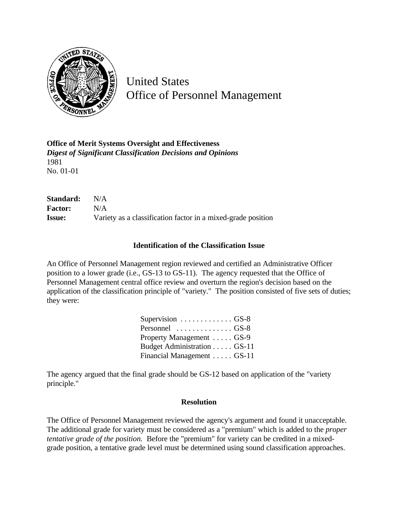

United States Office of Personnel Management

**Office of Merit Systems Oversight and Effectiveness** *Digest of Significant Classification Decisions and Opinions* 1981 No. 01-01

| Standard:      | N/A                                                          |
|----------------|--------------------------------------------------------------|
| <b>Factor:</b> | N/A                                                          |
| <b>Issue:</b>  | Variety as a classification factor in a mixed-grade position |

## **Identification of the Classification Issue**

An Office of Personnel Management region reviewed and certified an Administrative Officer position to a lower grade (i.e., GS-13 to GS-11). The agency requested that the Office of Personnel Management central office review and overturn the region's decision based on the application of the classification principle of "variety." The position consisted of five sets of duties; they were:

| Supervision $\ldots \ldots \ldots \ldots$ GS-8 |  |
|------------------------------------------------|--|
| Personnel $\dots\dots\dots\dots\dots$ GS-8     |  |
| Property Management GS-9                       |  |
| Budget Administration GS-11                    |  |
| Financial Management GS-11                     |  |

The agency argued that the final grade should be GS-12 based on application of the "variety principle."

## **Resolution**

The Office of Personnel Management reviewed the agency's argument and found it unacceptable. The additional grade for variety must be considered as a "premium" which is added to the *proper tentative grade of the position.* Before the "premium" for variety can be credited in a mixedgrade position, a tentative grade level must be determined using sound classification approaches.